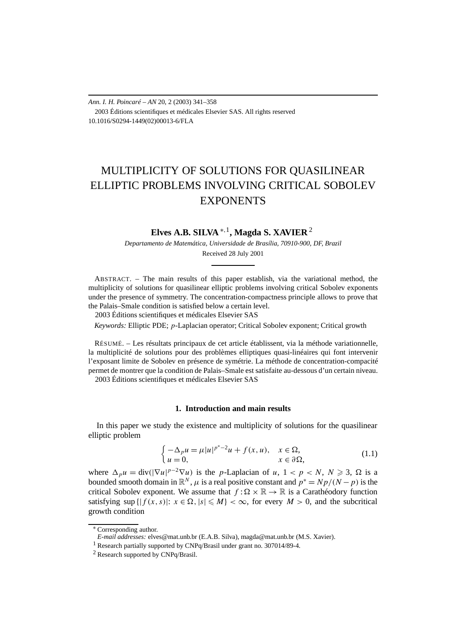*Ann. I. H. Poincaré – AN* 20, 2 (2003) 341–358 2003 Éditions scientifiques et médicales Elsevier SAS. All rights reserved 10.1016/S0294-1449(02)00013-6/FLA

# MULTIPLICITY OF SOLUTIONS FOR QUASILINEAR ELLIPTIC PROBLEMS INVOLVING CRITICAL SOBOLEV **EXPONENTS**

# **Elves A.B. SILVA** <sup>∗</sup>*,*1**, Magda S. XAVIER** <sup>2</sup>

*Departamento de Matemática, Universidade de Brasília, 70910-900, DF, Brazil* Received 28 July 2001

ABSTRACT. – The main results of this paper establish, via the variational method, the multiplicity of solutions for quasilinear elliptic problems involving critical Sobolev exponents under the presence of symmetry. The concentration-compactness principle allows to prove that the Palais–Smale condition is satisfied below a certain level.

2003 Éditions scientifiques et médicales Elsevier SAS

*Keywords:* Elliptic PDE; *p*-Laplacian operator; Critical Sobolev exponent; Critical growth

RÉSUMÉ. – Les résultats principaux de cet article établissent, via la méthode variationnelle, la multiplicité de solutions pour des problèmes elliptiques quasi-linéaires qui font intervenir l'exposant limite de Sobolev en présence de symétrie. La méthode de concentration-compacité permet de montrer que la condition de Palais–Smale est satisfaite au-dessous d'un certain niveau. 2003 Éditions scientifiques et médicales Elsevier SAS

# **1. Introduction and main results**

In this paper we study the existence and multiplicity of solutions for the quasilinear elliptic problem

$$
\begin{cases}\n-\Delta_p u = \mu |u|^{p^*-2} u + f(x, u), & x \in \Omega, \\
u = 0, & x \in \partial \Omega,\n\end{cases}
$$
\n(1.1)

where  $\Delta_p u = \text{div}(|\nabla u|^{p-2} \nabla u)$  is the *p*-Laplacian of *u*,  $1 < p < N$ ,  $N \ge 3$ ,  $\Omega$  is a bounded smooth domain in  $\mathbb{R}^N$ ,  $\mu$  is a real positive constant and  $p^* = Np/(N-p)$  is the critical Sobolev exponent. We assume that  $f : \Omega \times \mathbb{R} \to \mathbb{R}$  is a Carathéodory function satisfying sup  $\{|f(x, s)|: x \in \Omega, |s| \leq M\} < \infty$ , for every  $M > 0$ , and the subcritical growth condition

<sup>∗</sup> Corresponding author.

*E-mail addresses:* elves@mat.unb.br (E.A.B. Silva), magda@mat.unb.br (M.S. Xavier).

<sup>&</sup>lt;sup>1</sup> Research partially supported by CNPq/Brasil under grant no. 307014/89-4.

<sup>2</sup> Research supported by CNPq/Brasil.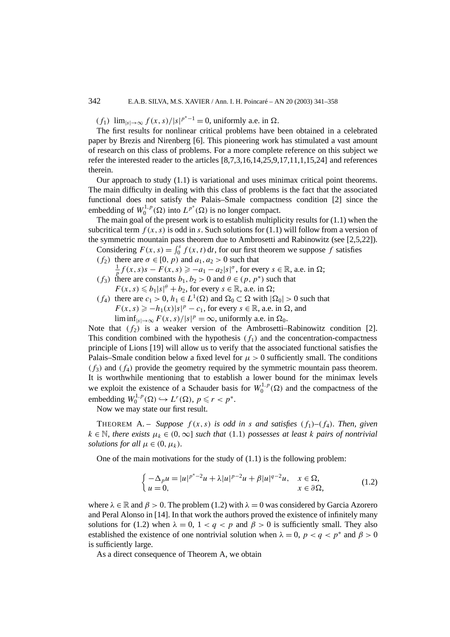*(f*<sub>1</sub>) lim<sub>|s|→∞</sub>  $f(x, s)/|s|^{p^*-1} = 0$ , uniformly a.e. in Ω.

The first results for nonlinear critical problems have been obtained in a celebrated paper by Brezis and Nirenberg [6]. This pioneering work has stimulated a vast amount of research on this class of problems. For a more complete reference on this subject we refer the interested reader to the articles [8,7,3,16,14,25,9,17,11,1,15,24] and references therein.

Our approach to study (1.1) is variational and uses minimax critical point theorems. The main difficulty in dealing with this class of problems is the fact that the associated functional does not satisfy the Palais–Smale compactness condition [2] since the embedding of  $W_0^{1,p}(\Omega)$  into  $L^{p^*}(\Omega)$  is no longer compact.

The main goal of the present work is to establish multiplicity results for  $(1.1)$  when the subcritical term  $f(x, s)$  is odd in *s*. Such solutions for (1.1) will follow from a version of the symmetric mountain pass theorem due to Ambrosetti and Rabinowitz (see [2,5,22]).

Considering  $F(x, s) = \int_0^s f(x, t) dt$ , for our first theorem we suppose f satisfies

*(f*<sub>2</sub>*)* there are  $\sigma \in [0, p)$  and  $a_1, a_2 > 0$  such that

 $\frac{1}{p} f(x, s) s - F(x, s) \geq -a_1 - a_2 |s|^\sigma$ , for every  $s \in \mathbb{R}$ , a.e. in  $\Omega$ ;

- *(f<sub>3</sub>)* there are constants  $b_1, b_2 > 0$  and  $\theta \in (p, p^*)$  such that  $F(x, s) \leq b_1 |s|^{\theta} + b_2$ , for every  $s \in \mathbb{R}$ , a.e. in  $\Omega$ ;
- *(f<sub>4</sub>)* there are  $c_1 > 0$ ,  $h_1 \in L^1(\Omega)$  and  $\Omega_0 \subset \Omega$  with  $|\Omega_0| > 0$  such that  $F(x, s) \ge -h_1(x)|s|^p - c_1$ , for every  $s \in \mathbb{R}$ , a.e. in  $\Omega$ , and lim inf<sub>|s|→∞</sub>  $F(x, s)/|s|^p = \infty$ , uniformly a.e. in  $\Omega_0$ .

Note that  $(f_2)$  is a weaker version of the Ambrosetti–Rabinowitz condition [2]. This condition combined with the hypothesis  $(f_1)$  and the concentration-compactness principle of Lions [19] will allow us to verify that the associated functional satisfies the Palais–Smale condition below a fixed level for  $\mu > 0$  sufficiently small. The conditions  $(f_3)$  and  $(f_4)$  provide the geometry required by the symmetric mountain pass theorem. It is worthwhile mentioning that to establish a lower bound for the minimax levels we exploit the existence of a Schauder basis for  $W_0^{1,p}(\Omega)$  and the compactness of the embedding  $W_0^{1,p}(\Omega) \hookrightarrow L^r(\Omega)$ ,  $p \le r < p^*$ .

Now we may state our first result.

THEOREM A. – *Suppose*  $f(x, s)$  *is odd in s and satisfies*  $(f_1) - (f_4)$ *. Then, given*  $k \in \mathbb{N}$ , there exists  $\mu_k \in (0, \infty]$  such that (1.1) possesses at least *k* pairs of nontrivial *solutions for all*  $\mu \in (0, \mu_k)$ *.* 

One of the main motivations for the study of (1.1) is the following problem:

$$
\begin{cases}\n-\Delta_p u = |u|^{p^*-2}u + \lambda |u|^{p-2}u + \beta |u|^{q-2}u, & x \in \Omega, \\
u = 0, & x \in \partial\Omega,\n\end{cases}
$$
\n(1.2)

where  $\lambda \in \mathbb{R}$  and  $\beta > 0$ . The problem (1.2) with  $\lambda = 0$  was considered by Garcia Azorero and Peral Alonso in [14]. In that work the authors proved the existence of infinitely many solutions for (1.2) when  $\lambda = 0$ ,  $1 < q < p$  and  $\beta > 0$  is sufficiently small. They also established the existence of one nontrivial solution when  $\lambda = 0$ ,  $p < q < p^*$  and  $\beta > 0$ is sufficiently large.

As a direct consequence of Theorem A, we obtain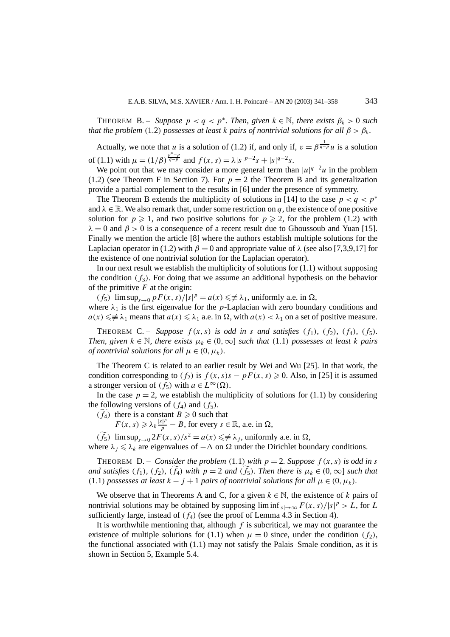THEOREM B. – *Suppose*  $p < q < p^*$ *. Then, given*  $k \in \mathbb{N}$ *, there exists*  $\beta_k > 0$  *such that the problem* (1.2) *possesses at least k pairs of nontrivial solutions for all*  $\beta > \beta_k$ .

Actually, we note that *u* is a solution of (1.2) if, and only if,  $v = \beta^{\frac{1}{q-p}} u$  is a solution of (1.1) with  $\mu = (1/\beta)^{\frac{p^* - p}{q - p}}$  and  $f(x, s) = \lambda |s|^{p-2} s + |s|^{q-2} s$ .

We point out that we may consider a more general term than  $|u|^{q-2}u$  in the problem (1.2) (see Theorem F in Section 7). For  $p = 2$  the Theorem B and its generalization provide a partial complement to the results in [6] under the presence of symmetry.

The Theorem B extends the multiplicity of solutions in [14] to the case  $p < q < p^*$ and  $\lambda \in \mathbb{R}$ . We also remark that, under some restriction on *q*, the existence of one positive solution for  $p \ge 1$ , and two positive solutions for  $p \ge 2$ , for the problem (1.2) with  $\lambda = 0$  and  $\beta > 0$  is a consequence of a recent result due to Ghoussoub and Yuan [15]. Finally we mention the article [8] where the authors establish multiple solutions for the Laplacian operator in (1.2) with  $\beta = 0$  and appropriate value of  $\lambda$  (see also [7,3,9,17] for the existence of one nontrivial solution for the Laplacian operator).

In our next result we establish the multiplicity of solutions for  $(1.1)$  without supposing the condition  $(f_3)$ . For doing that we assume an additional hypothesis on the behavior of the primitive *F* at the origin:

 $(f_5)$  lim sup<sub>*s*→0</sub>  $pF(x, s)/|s|^p = a(x) \leq \neq \lambda_1$ , uniformly a.e. in  $\Omega$ , where  $\lambda_1$  is the first eigenvalue for the *p*-Laplacian with zero boundary conditions and  $a(x) \leq \neq \lambda_1$  means that  $a(x) \leq \lambda_1$  a.e. in  $\Omega$ , with  $a(x) < \lambda_1$  on a set of positive measure.

**THEOREM C.** – *Suppose*  $f(x, s)$  *is odd in s and satisfies*  $(f_1)$ *,*  $(f_2)$ *,*  $(f_4)$ *,*  $(f_5)$ *. Then, given*  $k \in \mathbb{N}$ *, there exists*  $\mu_k \in (0, \infty]$  *such that* (1.1*) possesses at least k pairs of nontrivial solutions for all*  $\mu \in (0, \mu_k)$ *.* 

The Theorem C is related to an earlier result by Wei and Wu [25]. In that work, the condition corresponding to  $(f_2)$  is  $f(x, s)s - pF(x, s) \ge 0$ . Also, in [25] it is assumed a stronger version of  $(f_5)$  with  $a \in L^{\infty}(\Omega)$ .

In the case  $p = 2$ , we establish the multiplicity of solutions for (1.1) by considering the following versions of  $(f_4)$  and  $(f_5)$ .

 $(f_4)$  there is a constant  $B \ge 0$  such that

 $F(x, s) \ge \lambda_k \frac{|s|^p}{p} - B$ , for every  $s \in \mathbb{R}$ , a.e. in  $\Omega$ ,

 $(\widetilde{f}_5)$  lim sup<sub>*s* $\rightarrow$ 0</sub> 2*F*(*x*, *s*)/*s*<sup>2</sup> = *a*(*x*)  $\leq \neq \lambda_j$ , uniformly a.e. in  $\Omega$ ,

where  $\lambda_j \leq \lambda_k$  are eigenvalues of  $-\Delta$  on  $\Omega$  under the Dirichlet boundary conditions.

**THEOREM** D. – *Consider the problem* (1.1) *with*  $p = 2$ *. Suppose*  $f(x, s)$  *is odd in s and satisfies*  $(f_1)$ *,*  $(f_2)$ *,*  $(f_4)$  *with*  $p = 2$  *and*  $(f_5)$ *. Then there is*  $\mu_k \in (0, \infty]$  *such that (*1*.*1*) possesses at least*  $k − j + 1$  *pairs of nontrivial solutions for all*  $\mu ∈ (0, \mu_k)$ *.* 

We observe that in Theorems A and C, for a given  $k \in \mathbb{N}$ , the existence of k pairs of nontrivial solutions may be obtained by supposing  $\liminf_{|s| \to \infty} F(x, s)/|s|^p > L$ , for *L* sufficiently large, instead of  $(f_4)$  (see the proof of Lemma 4.3 in Section 4).

It is worthwhile mentioning that, although *f* is subcritical, we may not guarantee the existence of multiple solutions for (1.1) when  $\mu = 0$  since, under the condition  $(f_2)$ , the functional associated with  $(1.1)$  may not satisfy the Palais–Smale condition, as it is shown in Section 5, Example 5.4.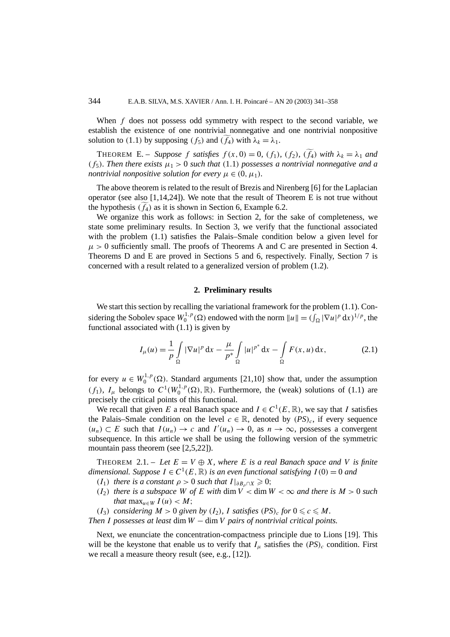When *f* does not possess odd symmetry with respect to the second variable, we establish the existence of one nontrivial nonnegative and one nontrivial nonpositive solution to (1.1) by supposing  $(f_5)$  and  $(f_4)$  with  $\lambda_k = \lambda_1$ .

**THEOREM E.** – *Suppose f satisfies*  $f(x, 0) = 0$ *,*  $(f_1)$ *,*  $(f_2)$ *,*  $(f_4)$  *with*  $\lambda_k = \lambda_1$  *and (f<sub>5</sub>). Then there exists*  $\mu_1 > 0$  *such that* (1.1*) possesses a nontrivial nonnegative and a nontrivial nonpositive solution for every*  $\mu \in (0, \mu_1)$ *.* 

The above theorem is related to the result of Brezis and Nirenberg [6] for the Laplacian operator (see also  $[1,14,24]$ ). We note that the result of Theorem E is not true without the hypothesis  $(f_4)$  as it is shown in Section 6, Example 6.2.

We organize this work as follows: in Section 2, for the sake of completeness, we state some preliminary results. In Section 3, we verify that the functional associated with the problem (1.1) satisfies the Palais–Smale condition below a given level for  $\mu > 0$  sufficiently small. The proofs of Theorems A and C are presented in Section 4. Theorems D and E are proved in Sections 5 and 6, respectively. Finally, Section 7 is concerned with a result related to a generalized version of problem (1.2).

# **2. Preliminary results**

We start this section by recalling the variational framework for the problem  $(1.1)$ . Considering the Sobolev space  $W_0^{1,p}(\Omega)$  endowed with the norm  $||u|| = (\int_{\Omega} |\nabla u|^p dx)^{1/p}$ , the functional associated with (1.1) is given by

$$
I_{\mu}(u) = \frac{1}{p} \int_{\Omega} |\nabla u|^p \, \mathrm{d}x - \frac{\mu}{p^*} \int_{\Omega} |u|^{p^*} \, \mathrm{d}x - \int_{\Omega} F(x, u) \, \mathrm{d}x,\tag{2.1}
$$

for every  $u \in W_0^{1,p}(\Omega)$ . Standard arguments [21,10] show that, under the assumption *(f<sub>1</sub>)*,  $I_\mu$  belongs to  $C^1(W_0^{1,p}(\Omega), \mathbb{R})$ . Furthermore, the (weak) solutions of (1.1) are precisely the critical points of this functional.

We recall that given *E* a real Banach space and  $I \in C^1(E, \mathbb{R})$ , we say that *I* satisfies the Palais–Smale condition on the level  $c \in \mathbb{R}$ , denoted by  $(PS)_c$ , if every sequence  $(u_n)$  ⊂ *E* such that  $I(u_n)$  → *c* and  $I'(u_n)$  → 0, as  $n \to \infty$ , possesses a convergent subsequence. In this article we shall be using the following version of the symmetric mountain pass theorem (see [2,5,22]).

THEOREM 2.1. – Let  $E = V \oplus X$ , where E is a real Banach space and V is finite *dimensional. Suppose*  $I \in C^1(E, \mathbb{R})$  *is an even functional satisfying*  $I(0) = 0$  *and* 

- *(I*<sub>1</sub>*) there is a constant*  $\rho > 0$  *such that*  $I|_{\partial B_0 \cap X} \ge 0$ ;
- $(I_2)$  *there is a subspace W of E with* dim  $V <$  dim  $W < \infty$  *and there is*  $M > 0$  *such that*  $\max_{u \in W} I(u) < M$ ;
- *(I<sub>3</sub>) considering*  $M > 0$  *given by*  $(I_2)$ *, I satisfies*  $(PS)_c$  *for*  $0 \le c \le M$ *.*

*Then I possesses at least* dim *W* − dim*V pairs of nontrivial critical points.*

Next, we enunciate the concentration-compactness principle due to Lions [19]. This will be the keystone that enable us to verify that  $I_\mu$  satisfies the  $(PS)_c$  condition. First we recall a measure theory result (see, e.g., [12]).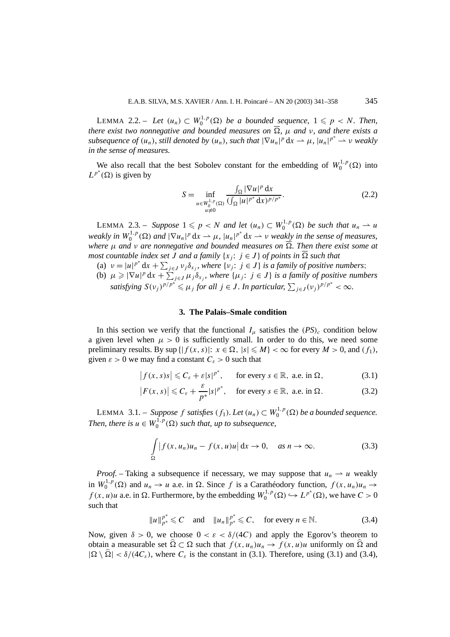LEMMA 2.2. – Let  $(u_n) \subset W_0^{1,p}(\Omega)$  be a bounded sequence,  $1 \leq p < N$ . Then, *there exist two nonnegative and bounded measures on*  $\overline{\Omega}$ ,  $\mu$  *and v*, *and there exists a subsequence of*  $(u_n)$ *, still denoted by*  $(u_n)$ *, such that*  $|\nabla u_n|^p dx \to \mu$ *,*  $|u_n|^{p^*} \to \nu$  *weakly in the sense of measures.*

We also recall that the best Sobolev constant for the embedding of  $W_0^{1,p}(\Omega)$  into  $L^{p^*}(\Omega)$  is given by

$$
S = \inf_{\substack{u \in W_0^{1,p}(\Omega) \\ u \neq 0}} \frac{\int_{\Omega} |\nabla u|^p \, dx}{(\int_{\Omega} |u|^{p^*} \, dx)^{p/p^*}}.
$$
 (2.2)

LEMMA 2.3. – *Suppose*  $1 \leq p < N$  *and let*  $(u_n) \subset W_0^{1,p}(\Omega)$  *be such that*  $u_n \to u$ *weakly in*  $W_0^{1,p}(\Omega)$  *and*  $|\nabla u_n|^p dx \to \mu$ ,  $|u_n|^{p^*} dx \to \nu$  *weakly in the sense of measures, where µ and ν are nonnegative and bounded measures on . Then there exist some at most countable index set*  $\tilde{J}$  *and a family* { $x_j$ :  $j \in J$ } *of points in*  $\overline{\Omega}$  *such that* 

(a)  $v = |u|^{p^*} dx + \sum_{j \in J} v_j \delta_{x_j}$ , where  $\{v_j : j \in J\}$  *is a family of positive numbers*; (b)  $\mu \geq |\nabla u|^p dx + \sum_{j \in J} \mu_j \delta_{x_j}$ , where  $\{\mu_j : j \in J\}$  is a family of positive numbers satisfying  $S(v_j)^{p/p^*} \leq \mu_j$  for all  $j \in J$ . In particular,  $\sum_{j \in J} (v_j)^{p/p^*} < \infty$ .

#### **3. The Palais–Smale condition**

In this section we verify that the functional  $I_u$  satisfies the  $(PS)_c$  condition below a given level when  $\mu > 0$  is sufficiently small. In order to do this, we need some preliminary results. By sup  $\{|f(x, s)|: x \in \Omega, |s| \leq M\} < \infty$  for every  $M > 0$ , and  $(f_1)$ , given  $\varepsilon > 0$  we may find a constant  $C_{\varepsilon} > 0$  such that

$$
|f(x, s)s| \leq C_{\varepsilon} + \varepsilon |s|^{p^*}, \quad \text{for every } s \in \mathbb{R}, \text{ a.e. in } \Omega,
$$
 (3.1)

$$
|F(x,s)| \leq C_{\varepsilon} + \frac{\varepsilon}{p^*} |s|^{p^*}, \quad \text{for every } s \in \mathbb{R}, \text{ a.e. in } \Omega.
$$
 (3.2)

LEMMA 3.1. – *Suppose*  $f$  *satisfies*  $(f_1)$ *. Let*  $(u_n) \subset W_0^{1,p}(\Omega)$  *be a bounded sequence. Then, there is*  $u \in W_0^{1,p}(\Omega)$  *such that, up to subsequence,* 

$$
\int_{\Omega} |f(x, u_n)u_n - f(x, u)u| dx \to 0, \quad \text{as } n \to \infty.
$$
 (3.3)

*Proof.* – Taking a subsequence if necessary, we may suppose that  $u_n \rightharpoonup u$  weakly in  $W_0^{1,p}(\Omega)$  and  $u_n \to u$  a.e. in  $\Omega$ . Since f is a Carathéodory function,  $f(x, u_n)u_n \to$ *f*(*x*, *u*)*u* a.e. in  $\Omega$ . Furthermore, by the embedding  $W_0^{1,p}(\Omega) \hookrightarrow L^{p^*}(\Omega)$ , we have  $C > 0$ such that

$$
||u||_{p^*}^{p^*} \leq C \quad \text{and} \quad ||u_n||_{p^*}^{p^*} \leq C, \quad \text{for every } n \in \mathbb{N}.
$$

Now, given  $\delta > 0$ , we choose  $0 < \varepsilon < \delta/(4C)$  and apply the Egorov's theorem to obtain a measurable set  $\hat{\Omega} \subset \Omega$  such that  $f(x, u_n)u_n \to f(x, u)u$  uniformly on  $\hat{\Omega}$  and  $|\Omega \setminus \hat{\Omega}| < \delta/(4C_{\varepsilon})$ , where  $C_{\varepsilon}$  is the constant in (3.1). Therefore, using (3.1) and (3.4),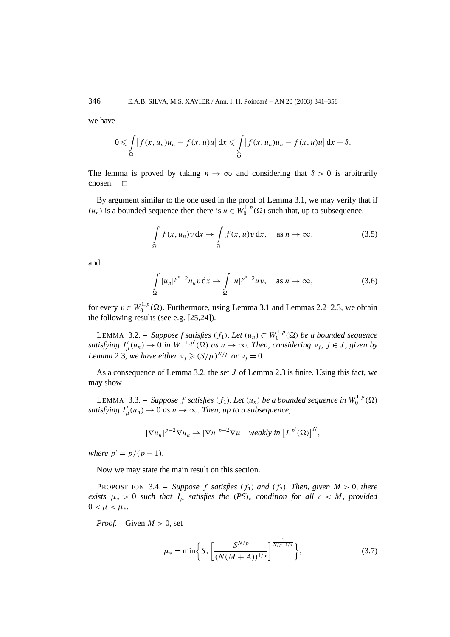we have

$$
0 \leqslant \int\limits_{\Omega} \left| f(x, u_n) u_n - f(x, u) u \right| dx \leqslant \int\limits_{\widehat{\Omega}} \left| f(x, u_n) u_n - f(x, u) u \right| dx + \delta.
$$

The lemma is proved by taking  $n \to \infty$  and considering that  $\delta > 0$  is arbitrarily chosen.  $\Box$ 

By argument similar to the one used in the proof of Lemma 3.1, we may verify that if *(u<sub>n</sub>*) is a bounded sequence then there is *u* ∈  $W_0^{1,p}$  (Ω) such that, up to subsequence,

$$
\int_{\Omega} f(x, u_n)v \, dx \to \int_{\Omega} f(x, u)v \, dx, \quad \text{as } n \to \infty,
$$
\n(3.5)

and

$$
\int_{\Omega} |u_n|^{p^*-2} u_n v \, dx \to \int_{\Omega} |u|^{p^*-2} u v, \quad \text{as } n \to \infty,
$$
\n(3.6)

for every  $v \in W_0^{1,p}(\Omega)$ . Furthermore, using Lemma 3.1 and Lemmas 2.2–2.3, we obtain the following results (see e.g. [25,24]).

LEMMA 3.2. – *Suppose f satisfies*  $(f_1)$ *. Let*  $(u_n) \subset W_0^{1,p}(\Omega)$  *be a bounded sequence satisfying*  $I'_\mu(u_n) \to 0$  *in*  $W^{-1,p'}(\Omega)$  *as*  $n \to \infty$ *. Then, considering*  $v_j$ *,*  $j \in J$ *, given by Lemma* 2*.*3*, we have either*  $v_i \ge (S/\mu)^{N/p}$  *or*  $v_i = 0$ *.* 

As a consequence of Lemma 3.2, the set *J* of Lemma 2.3 is finite. Using this fact, we may show

LEMMA 3.3. – *Suppose f satisfies*  $(f_1)$ *. Let*  $(u_n)$  *be a bounded sequence in*  $W_0^{1,p}(\Omega)$ *satisfying*  $I^{\prime}_{\mu}(u_n) \rightarrow 0$  *as*  $n \rightarrow \infty$ *. Then, up to a subsequence,* 

$$
|\nabla u_n|^{p-2} \nabla u_n \rightharpoonup |\nabla u|^{p-2} \nabla u \quad weakly in \left[L^{p'}(\Omega)\right]^N,
$$

*where*  $p' = p/(p-1)$ *.* 

Now we may state the main result on this section.

**PROPOSITION** 3.4. – *Suppose f satisfies*  $(f_1)$  *and*  $(f_2)$ *. Then, given*  $M > 0$ *, there exists*  $\mu_* > 0$  *such that*  $I_\mu$  *satisfies the*  $(PS)_c$  *condition for all*  $c < M$ *, provided*  $0 < \mu < \mu_*$ .

*Proof.* – Given  $M > 0$ , set

$$
\mu_* = \min\bigg\{S, \bigg[\frac{S^{N/p}}{(N(M+A))^{1/\alpha}}\bigg]^{\frac{1}{N/p-1/\alpha}}\bigg\},\tag{3.7}
$$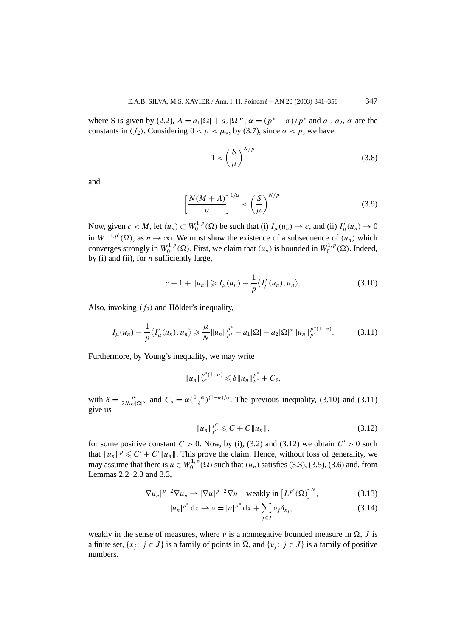where S is given by (2.2),  $A = a_1 |\Omega| + a_2 |\Omega|^{\alpha}$ ,  $\alpha = (p^* - \sigma)/p^*$  and  $a_1, a_2, \sigma$  are the constants in *(f<sub>2</sub>)*. Considering  $0 < \mu < \mu_*$ , by (3.7), since  $\sigma < p$ , we have

$$
1 < \left(\frac{S}{\mu}\right)^{N/p} \tag{3.8}
$$

and

$$
\left[\frac{N(M+A)}{\mu}\right]^{1/\alpha} < \left(\frac{S}{\mu}\right)^{N/p}.\tag{3.9}
$$

Now, given  $c < M$ , let  $(u_n) \subset W_0^{1,p}(\Omega)$  be such that (i)  $I_\mu(u_n) \to c$ , and (ii)  $I'_\mu(u_n) \to 0$ in  $W^{-1,p'}(\Omega)$ , as  $n \to \infty$ . We must show the existence of a subsequence of *(u<sub>n</sub>)* which converges strongly in  $W_0^{1,p}(\Omega)$ . First, we claim that  $(u_n)$  is bounded in  $W_0^{1,p}(\Omega)$ . Indeed, by (i) and (ii), for *n* sufficiently large,

$$
c + 1 + ||u_n|| \ge I_\mu(u_n) - \frac{1}{p} \langle I'_\mu(u_n), u_n \rangle.
$$
 (3.10)

Also, invoking *(f*2*)* and Hölder's inequality,

$$
I_{\mu}(u_{n}) - \frac{1}{p} \langle I'_{\mu}(u_{n}), u_{n} \rangle \geq \frac{\mu}{N} ||u_{n}||_{p^{*}}^{p^{*}} - a_{1} |\Omega| - a_{2} |\Omega|^{\alpha} ||u_{n}||_{p^{*}}^{p^{*}(1-\alpha)}.
$$
 (3.11)

Furthermore, by Young's inequality, we may write

$$
||u_n||_{p^*}^{p^*(1-\alpha)} \leq \delta ||u_n||_{p^*}^{p^*} + C_\delta,
$$

with  $\delta = \frac{\mu}{2Na_2|\Omega|^{\alpha}}$  and  $C_{\delta} = \alpha(\frac{1-\alpha}{\delta})^{(1-\alpha)/\alpha}$ . The previous inequality, (3.10) and (3.11) give us

$$
||u_n||_{p^*}^{p^*} \leq C + C ||u_n||,
$$
\n(3.12)

for some positive constant  $C > 0$ . Now, by (i), (3.2) and (3.12) we obtain  $C' > 0$  such that  $||u_n||^p \leq C' + C'||u_n||$ . This prove the claim. Hence, without loss of generality, we may assume that there is  $u \in W_0^{1,p}(\Omega)$  such that  $(u_n)$  satisfies (3.3), (3.5), (3.6) and, from Lemmas 2.2–2.3 and 3.3,

$$
|\nabla u_n|^{p-2} \nabla u_n \rightharpoonup |\nabla u|^{p-2} \nabla u \quad \text{weakly in } \left[L^{p'}(\Omega)\right]^N, \tag{3.13}
$$

$$
|u_n|^{p^*} dx \rightharpoonup v = |u|^{p^*} dx + \sum_{j \in J} v_j \delta_{x_j},
$$
\n(3.14)

weakly in the sense of measures, where *ν* is a nonnegative bounded measure in  $\overline{\Omega}$ , *J* is a finite set,  $\{x_j : j \in J\}$  is a family of points in  $\overline{\Omega}$ , and  $\{v_j : j \in J\}$  is a family of positive numbers.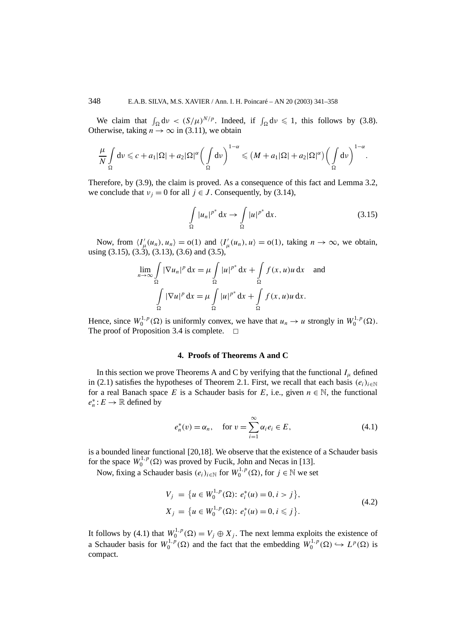We claim that  $\int_{\Omega} dv < (S/\mu)^{N/p}$ . Indeed, if  $\int_{\Omega} dv \le 1$ , this follows by (3.8). Otherwise, taking  $n \to \infty$  in (3.11), we obtain

$$
\frac{\mu}{N} \int_{\Omega} d\nu \leqslant c + a_1 |\Omega| + a_2 |\Omega|^{\alpha} \bigg(\int_{\Omega} d\nu\bigg)^{1-\alpha} \leqslant (M + a_1 |\Omega| + a_2 |\Omega|^{\alpha}) \bigg(\int_{\Omega} d\nu\bigg)^{1-\alpha}
$$

Therefore, by (3.9), the claim is proved. As a consequence of this fact and Lemma 3.2, we conclude that  $v_j = 0$  for all  $j \in J$ . Consequently, by (3.14),

$$
\int_{\Omega} |u_n|^{p^*} \, \mathrm{d}x \to \int_{\Omega} |u|^{p^*} \, \mathrm{d}x. \tag{3.15}
$$

*.*

Now, from  $\langle I'_{\mu}(u_n), u_n \rangle = o(1)$  and  $\langle I'_{\mu}(u_n), u \rangle = o(1)$ , taking  $n \to \infty$ , we obtain, using  $(3.15)$ ,  $(3.3)$ ,  $(3.13)$ ,  $(3.6)$  and  $(3.5)$ ,

$$
\lim_{n \to \infty} \int_{\Omega} |\nabla u_n|^p \, \mathrm{d}x = \mu \int_{\Omega} |u|^{p^*} \, \mathrm{d}x + \int_{\Omega} f(x, u)u \, \mathrm{d}x \quad \text{and}
$$

$$
\int_{\Omega} |\nabla u|^p \, \mathrm{d}x = \mu \int_{\Omega} |u|^{p^*} \, \mathrm{d}x + \int_{\Omega} f(x, u)u \, \mathrm{d}x.
$$

Hence, since  $W_0^{1,p}(\Omega)$  is uniformly convex, we have that  $u_n \to u$  strongly in  $W_0^{1,p}(\Omega)$ . The proof of Proposition 3.4 is complete.  $\Box$ 

# **4. Proofs of Theorems A and C**

In this section we prove Theorems A and C by verifying that the functional  $I_u$  defined in (2.1) satisfies the hypotheses of Theorem 2.1. First, we recall that each basis  $(e_i)_{i \in \mathbb{N}}$ for a real Banach space *E* is a Schauder basis for *E*, i.e., given  $n \in \mathbb{N}$ , the functional  $e_n^*: E \to \mathbb{R}$  defined by

$$
e_n^*(v) = \alpha_n, \quad \text{for } v = \sum_{i=1}^{\infty} \alpha_i e_i \in E,
$$
 (4.1)

is a bounded linear functional [20,18]. We observe that the existence of a Schauder basis for the space  $W_0^{1,p}(\Omega)$  was proved by Fucik, John and Necas in [13].

Now, fixing a Schauder basis  $(e_i)_{i \in \mathbb{N}}$  for  $W_0^{1,p}(\Omega)$ , for  $j \in \mathbb{N}$  we set

$$
V_j = \{ u \in W_0^{1,p}(\Omega) : e_i^*(u) = 0, i > j \},
$$
  
\n
$$
X_j = \{ u \in W_0^{1,p}(\Omega) : e_i^*(u) = 0, i \le j \}.
$$
\n(4.2)

It follows by (4.1) that  $W_0^{1,p}(\Omega) = V_j \oplus X_j$ . The next lemma exploits the existence of a Schauder basis for  $W_0^{1,p}(\Omega)$  and the fact that the embedding  $W_0^{1,p}(\Omega) \hookrightarrow L^p(\Omega)$  is compact.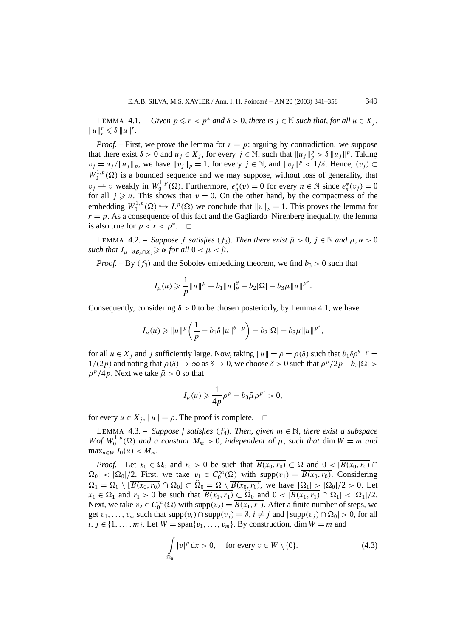LEMMA 4.1. – *Given*  $p \leq r < p^*$  *and*  $\delta > 0$ *, there is*  $j \in \mathbb{N}$  *such that, for all*  $u \in X_j$ *,*  $||u||_r^r \le \delta ||u||^r$ .

*Proof.* – First, we prove the lemma for  $r = p$ : arguing by contradiction, we suppose that there exist  $\delta > 0$  and  $u_j \in X_j$ , for every  $j \in \mathbb{N}$ , such that  $||u_j||_p^p > \delta ||u_j||_p^p$ . Taking  $v_j = u_j / ||u_j||_p$ , we have  $||v_j||_p = 1$ , for every  $j \in \mathbb{N}$ , and  $||v_j||^p < 1/\delta$ . Hence,  $(v_j) \subset$  $W_0^{1,p}(\Omega)$  is a bounded sequence and we may suppose, without loss of generality, that  $v_j \rightharpoonup v$  weakly in  $W_0^{1,p}(\Omega)$ . Furthermore,  $e_n^*(v) = 0$  for every  $n \in \mathbb{N}$  since  $e_n^*(v_j) = 0$ for all  $j \ge n$ . This shows that  $v = 0$ . On the other hand, by the compactness of the embedding  $W_0^{1,p}(\Omega) \hookrightarrow L^p(\Omega)$  we conclude that  $||v||_p = 1$ . This proves the lemma for  $r = p$ . As a consequence of this fact and the Gagliardo–Nirenberg inequality, the lemma is also true for  $p < r < p^*$ .  $\Box$ 

LEMMA 4.2. – *Suppose f satisfies* (*f*<sub>3</sub>)*. Then there exist*  $\tilde{\mu} > 0$ ,  $j \in \mathbb{N}$  *and*  $\rho, \alpha > 0$ *such that*  $I_{\mu}$   $|_{\partial B_{\rho} \cap X_{i}} \geq \alpha$  *for all*  $0 < \mu < \tilde{\mu}$ *.* 

*Proof.* – By  $(f_3)$  and the Sobolev embedding theorem, we find  $b_3 > 0$  such that

$$
I_{\mu}(u) \geqslant \frac{1}{p} \|u\|^{p} - b_1 \|u\|_{\theta}^{\theta} - b_2 |\Omega| - b_3 \mu \|u\|^{p^*}.
$$

Consequently, considering  $\delta > 0$  to be chosen posteriorly, by Lemma 4.1, we have

$$
I_{\mu}(u) \geq \|u\|^{p} \left(\frac{1}{p} - b_{1}\delta\|u\|^{\theta-p}\right) - b_{2}|\Omega| - b_{3}\mu\|u\|^{p^{*}},
$$

for all  $u \in X_i$  and *j* sufficiently large. Now, taking  $||u|| = \rho = \rho(\delta)$  such that  $b_1 \delta \rho^{\theta - p} =$  $1/(2p)$  and noting that  $\rho(\delta) \to \infty$  as  $\delta \to 0$ , we choose  $\delta > 0$  such that  $\rho^p/2p - b_2|\Omega| >$  $\rho^p/4p$ . Next we take  $\tilde{\mu} > 0$  so that

$$
I_{\mu}(u) \geq \frac{1}{4p}\rho^{p} - b_3 \tilde{\mu}\rho^{p^*} > 0,
$$

for every  $u \in X_j$ ,  $||u|| = \rho$ . The proof is complete.  $\Box$ 

LEMMA 4.3. – *Suppose f satisfies*  $(f_4)$ *. Then, given*  $m \in \mathbb{N}$ *, there exist a subspace W* of  $W_0^{1,p}(\Omega)$  and a constant  $M_m > 0$ , independent of  $\mu$ , such that dim  $W = m$  and  $\max_{u \in W} I_0(u) < M_m$ .

*Proof.* – Let  $x_0 \in \Omega_0$  and  $r_0 > 0$  be such that  $\overline{B(x_0, r_0)} \subset \Omega$  and  $0 < |\overline{B(x_0, r_0)}|$  $\Omega_0$  <  $|\Omega_0|/2$ . First, we take  $v_1 \in C_0^{\infty}(\Omega)$  with supp $(v_1) = \overline{B(x_0, r_0)}$ . Considering  $\Omega_1 = \Omega_0 \setminus [\overline{B(x_0, r_0)} \cap \Omega_0] \subset \Omega_0 = \Omega \setminus \overline{B(x_0, r_0)}$ , we have  $|\Omega_1| > |\Omega_0|/2 > 0$ . Let  $x_1 \in \Omega_1$  and  $r_1 > 0$  be such that  $\overline{B(x_1, r_1)} \subset \Omega_0$  and  $0 < |\overline{B(x_1, r_1)} \cap \Omega_1| < |\Omega_1|/2$ . Next, we take  $v_2 \in C_0^{\infty}(\Omega)$  with supp $(v_2) = \overline{B(x_1, r_1)}$ . After a finite number of steps, we get  $v_1, \ldots, v_m$  such that  $supp(v_i) \cap supp(v_j) = \emptyset$ ,  $i \neq j$  and  $|supp(v_j) \cap \Omega_0| > 0$ , for all  $i, j \in \{1, \ldots, m\}$ . Let  $W = \text{span}\{v_1, \ldots, v_m\}$ . By construction, dim  $W = m$  and

$$
\int_{\Omega_0} |v|^p \, \mathrm{d}x > 0, \quad \text{for every } v \in W \setminus \{0\}. \tag{4.3}
$$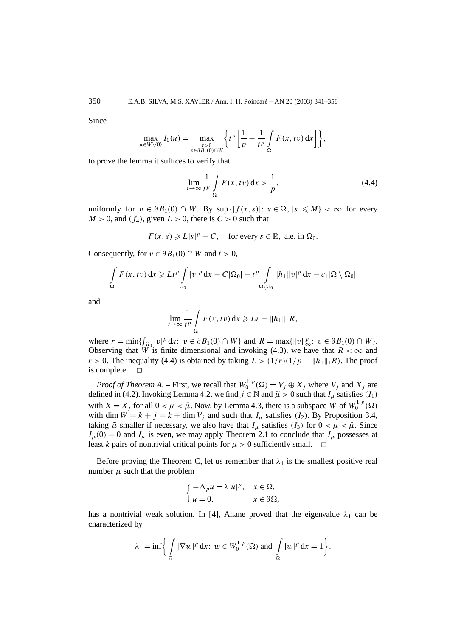Since

$$
\max_{u \in W \setminus \{0\}} I_0(u) = \max_{\substack{t > 0 \\ v \in \partial B_1(0) \cap W}} \left\{ t^p \left[ \frac{1}{p} - \frac{1}{t^p} \int_{\Omega} F(x, tv) \, dx \right] \right\},\,
$$

to prove the lemma it suffices to verify that

$$
\lim_{t \to \infty} \frac{1}{t^p} \int\limits_{\Omega} F(x, tv) \, \mathrm{d}x > \frac{1}{p},\tag{4.4}
$$

uniformly for *v* ∈  $\partial B_1(0)$  ∩ *W*. By sup { $|f(x, s)|$ : *x* ∈ Ω,  $|s| \le M$ } < ∞ for every  $M > 0$ , and  $(f_4)$ , given  $L > 0$ , there is  $C > 0$  such that

 $F(x, s) \geqslant L|s|^p - C$ , for every  $s \in \mathbb{R}$ , a.e. in  $\Omega_0$ .

Consequently, for  $v \in \partial B_1(0) \cap W$  and  $t > 0$ ,

$$
\int_{\Omega} F(x, tv) dx \geqslant L t^{p} \int_{\Omega_{0}} |v|^{p} dx - C |\Omega_{0}| - t^{p} \int_{\Omega \setminus \Omega_{0}} |h_{1}| |v|^{p} dx - c_{1} |\Omega \setminus \Omega_{0}|
$$

and

$$
\lim_{t\to\infty}\frac{1}{t^p}\int\limits_{\Omega}F(x,tv)\,\mathrm{d} x\geqslant Lr-\|h_1\|_1R,
$$

where  $r = \min\{\int_{\Omega_0} |v|^p dx: v \in \partial B_1(0) \cap W\}$  and  $R = \max\{|v\|_{\infty}^p : v \in \partial B_1(0) \cap W\}.$ Observing that *W* is finite dimensional and invoking (4.3), we have that  $R < \infty$  and  $r > 0$ . The inequality (4.4) is obtained by taking  $L > (1/r)(1/p + ||h_1||_1 R)$ . The proof is complete.  $\square$ 

*Proof of Theorem A.* – First, we recall that  $W_0^{1,p}(\Omega) = V_j \oplus X_j$  where  $V_j$  and  $X_j$  are defined in (4.2). Invoking Lemma 4.2, we find  $j \in \mathbb{N}$  and  $\tilde{\mu} > 0$  such that  $I_{\mu}$  satisfies  $(I_1)$ with  $X = X_j$  for all  $0 < \mu < \tilde{\mu}$ . Now, by Lemma 4.3, there is a subspace *W* of  $W_0^{1,p}(\Omega)$ with dim  $W = k + j = k + \dim V_j$  and such that  $I_\mu$  satisfies  $(I_2)$ . By Proposition 3.4, taking  $\tilde{\mu}$  smaller if necessary, we also have that  $I_{\mu}$  satisfies  $(I_3)$  for  $0 < \mu < \tilde{\mu}$ . Since  $I_u(0) = 0$  and  $I_u$  is even, we may apply Theorem 2.1 to conclude that  $I_u$  possesses at least *k* pairs of nontrivial critical points for  $\mu > 0$  sufficiently small.  $\Box$ 

Before proving the Theorem C, let us remember that  $\lambda_1$  is the smallest positive real number  $\mu$  such that the problem

$$
\begin{cases}\n-\Delta_p u = \lambda |u|^p, & x \in \Omega, \\
u = 0, & x \in \partial\Omega,\n\end{cases}
$$

has a nontrivial weak solution. In [4], Anane proved that the eigenvalue  $\lambda_1$  can be characterized by

$$
\lambda_1 = \inf \biggl\{ \int_{\Omega} |\nabla w|^p \, \mathrm{d}x \colon w \in W_0^{1,p}(\Omega) \text{ and } \int_{\Omega} |w|^p \, \mathrm{d}x = 1 \biggr\}.
$$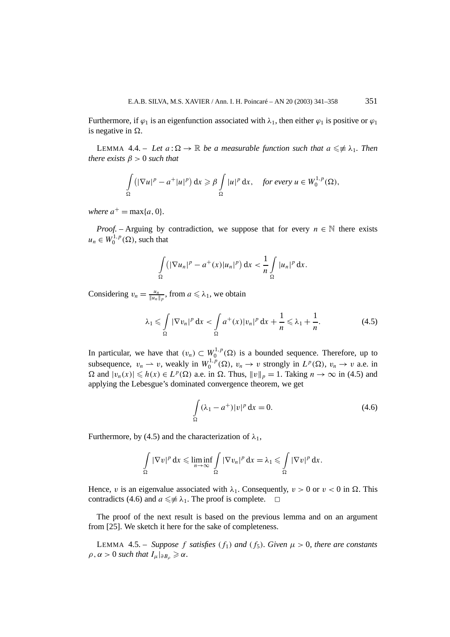Furthermore, if  $\varphi_1$  is an eigenfunction associated with  $\lambda_1$ , then either  $\varphi_1$  is positive or  $\varphi_1$ is negative in .

LEMMA 4.4. – Let  $a : \Omega \to \mathbb{R}$  be a measurable function such that  $a \leq \neq \lambda_1$ . Then *there exists*  $\beta > 0$  *such that* 

$$
\int_{\Omega} \left( |\nabla u|^p - a^+ |u|^p \right) dx \geq \beta \int_{\Omega} |u|^p dx, \quad \text{for every } u \in W_0^{1,p}(\Omega),
$$

*where*  $a^+$  = max{*a*, 0}.

*Proof.* – Arguing by contradiction, we suppose that for every  $n \in \mathbb{N}$  there exists  $u_n \in W_0^{1,p}(\Omega)$ , such that

$$
\int_{\Omega} \left( |\nabla u_n|^p - a^+(x) |u_n|^p \right) dx < \frac{1}{n} \int_{\Omega} |u_n|^p dx.
$$

Considering  $v_n = \frac{u_n}{\|u_n\|_p}$ , from  $a \le \lambda_1$ , we obtain

$$
\lambda_1 \leqslant \int\limits_{\Omega} |\nabla v_n|^p \, \mathrm{d}x < \int\limits_{\Omega} a^+(x) |v_n|^p \, \mathrm{d}x + \frac{1}{n} \leqslant \lambda_1 + \frac{1}{n}.\tag{4.5}
$$

In particular, we have that  $(v_n) \subset W_0^{1,p}(\Omega)$  is a bounded sequence. Therefore, up to subsequence,  $v_n \rightharpoonup v$ , weakly in  $W_0^{1,p}(\Omega)$ ,  $v_n \rightarrow v$  strongly in  $L^p(\Omega)$ ,  $v_n \rightarrow v$  a.e. in  $\Omega$  and  $|v_n(x)| \le h(x) \in L^p(\Omega)$  a.e. in  $\Omega$ . Thus,  $||v||_p = 1$ . Taking  $n \to \infty$  in (4.5) and applying the Lebesgue's dominated convergence theorem, we get

$$
\int_{\Omega} (\lambda_1 - a^+) |v|^p \, \mathrm{d}x = 0. \tag{4.6}
$$

Furthermore, by (4.5) and the characterization of  $\lambda_1$ ,

$$
\int_{\Omega} |\nabla v|^p dx \leqslant \liminf_{n \to \infty} \int_{\Omega} |\nabla v_n|^p dx = \lambda_1 \leqslant \int_{\Omega} |\nabla v|^p dx.
$$

Hence, *v* is an eigenvalue associated with  $\lambda_1$ . Consequently,  $v > 0$  or  $v < 0$  in  $\Omega$ . This contradicts (4.6) and  $a \leq \neq \lambda_1$ . The proof is complete.  $\Box$ 

The proof of the next result is based on the previous lemma and on an argument from [25]. We sketch it here for the sake of completeness.

**LEMMA** 4.5. – *Suppose f satisfies*  $(f_1)$  *and*  $(f_5)$ *. Given*  $\mu > 0$ *, there are constants*  $\rho, \alpha > 0$  *such that*  $I_{\mu}|_{\partial B_{\rho}} \geq \alpha$ .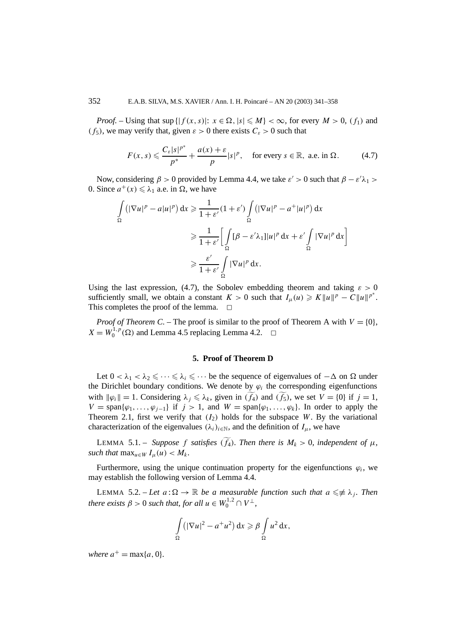*Proof.* – Using that sup  $\{|f(x, s)|: x \in \Omega, |s| \leq M\} < \infty$ , for every  $M > 0$ ,  $(f_1)$  and *(f<sub>5</sub>)*, we may verify that, given  $\varepsilon > 0$  there exists  $C_{\varepsilon} > 0$  such that

$$
F(x, s) \leqslant \frac{C_{\varepsilon}|s|^{p^*}}{p^*} + \frac{a(x) + \varepsilon}{p}|s|^p, \quad \text{for every } s \in \mathbb{R}, \text{ a.e. in } \Omega. \tag{4.7}
$$

Now, considering  $\beta > 0$  provided by Lemma 4.4, we take  $\varepsilon' > 0$  such that  $\beta - \varepsilon' \lambda_1 > 0$ 0. Since  $a^+(x) \leq \lambda_1$  a.e. in  $\Omega$ , we have

$$
\int_{\Omega} \left( |\nabla u|^p - a|u|^p \right) dx \geq \frac{1}{1 + \varepsilon'} (1 + \varepsilon') \int_{\Omega} \left( |\nabla u|^p - a^+ |u|^p \right) dx
$$

$$
\geq \frac{1}{1 + \varepsilon'} \left[ \int_{\Omega} [\beta - \varepsilon' \lambda_1] |u|^p dx + \varepsilon' \int_{\Omega} |\nabla u|^p dx \right]
$$

$$
\geq \frac{\varepsilon'}{1 + \varepsilon'} \int_{\Omega} |\nabla u|^p dx.
$$

Using the last expression, (4.7), the Sobolev embedding theorem and taking  $\varepsilon > 0$ sufficiently small, we obtain a constant  $K > 0$  such that  $I_{\mu}(u) \geq K ||u||^{p} - C ||u||^{p^{*}}$ . This completes the proof of the lemma.  $\Box$ 

*Proof of Theorem C. – The proof is similar to the proof of Theorem A with*  $V = \{0\}$ *,*  $X = W_0^{1,p}(\Omega)$  and Lemma 4.5 replacing Lemma 4.2.  $\Box$ 

### **5. Proof of Theorem D**

Let  $0 < \lambda_1 < \lambda_2 \leq \cdots \leq \lambda_i \leq \cdots$  be the sequence of eigenvalues of  $-\Delta$  on  $\Omega$  under the Dirichlet boundary conditions. We denote by  $\varphi_i$  the corresponding eigenfunctions with  $\|\varphi_i\| = 1$ . Considering  $\lambda_j \leq \lambda_k$ , given in  $(f_4)$  and  $(f_5)$ , we set  $V = \{0\}$  if  $j = 1$ ,  $V = \text{span}\{\varphi_1, \ldots, \varphi_{j-1}\}\$ if  $j > 1$ , and  $W = \text{span}\{\varphi_1, \ldots, \varphi_k\}$ . In order to apply the Theorem 2.1, first we verify that  $(I_2)$  holds for the subspace *W*. By the variational characterization of the eigenvalues  $(\lambda_i)_{i \in \mathbb{N}}$ , and the definition of  $I_\mu$ , we have

LEMMA 5.1. – *Suppose f satisfies* (*f*<sub>4</sub>)*. Then there is*  $M_k > 0$ *, independent of*  $\mu$ *, such that*  $\max_{u \in W} I_u(u) < M_k$ .

Furthermore, using the unique continuation property for the eigenfunctions  $\varphi_i$ , we may establish the following version of Lemma 4.4.

LEMMA 5.2. – Let  $a : \Omega \to \mathbb{R}$  be a measurable function such that  $a \leq \neq \lambda_j$ . Then *there exists*  $\beta > 0$  *such that, for all*  $u \in W_0^{1,2} \cap V^{\perp}$ ,

$$
\int_{\Omega} \left( |\nabla u|^2 - a^{\dagger} u^2 \right) dx \geqslant \beta \int_{\Omega} u^2 dx,
$$

*where*  $a^+ = \max\{a, 0\}$ *.*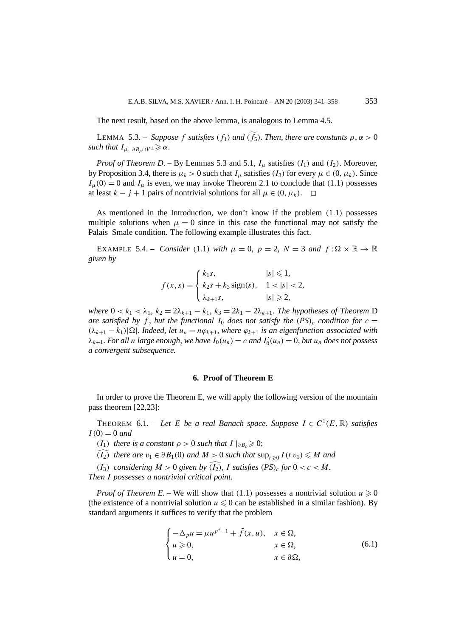The next result, based on the above lemma, is analogous to Lemma 4.5.

LEMMA 5.3. – *Suppose f satisfies*  $(f_1)$  *and*  $(f_5)$ *. Then, there are constants*  $\rho, \alpha > 0$ *such that*  $I_{\mu}|_{\partial B_{\rho} \cap V^{\perp}} \geq \alpha$ .

*Proof of Theorem D. – By Lemmas 5.3 and 5.1,*  $I_u$  *satisfies*  $(I_1)$  *and*  $(I_2)$ *. Moreover,* by Proposition 3.4, there is  $\mu_k > 0$  such that  $I_\mu$  satisfies  $(I_3)$  for every  $\mu \in (0, \mu_k)$ . Since  $I_u(0) = 0$  and  $I_u$  is even, we may invoke Theorem 2.1 to conclude that (1.1) possesses at least  $k - j + 1$  pairs of nontrivial solutions for all  $\mu \in (0, \mu_k)$ . □

As mentioned in the Introduction, we don't know if the problem *(*1*.*1*)* possesses multiple solutions when  $\mu = 0$  since in this case the functional may not satisfy the Palais–Smale condition. The following example illustrates this fact.

EXAMPLE 5.4. – *Consider* (1.1) *with*  $\mu = 0$ ,  $p = 2$ ,  $N = 3$  *and*  $f : \Omega \times \mathbb{R} \to \mathbb{R}$ *given by*

$$
f(x, s) = \begin{cases} k_1 s, & |s| \le 1, \\ k_2 s + k_3 \operatorname{sign}(s), & 1 < |s| < 2, \\ \lambda_{k+1} s, & |s| \ge 2, \end{cases}
$$

*where*  $0 < k_1 < \lambda_1$ ,  $k_2 = 2\lambda_{k+1} - k_1$ ,  $k_3 = 2k_1 - 2\lambda_{k+1}$ . The hypotheses of Theorem D *are satisfied by f*, *but the functional*  $I_0$  *does not satisfy the*  $(PS)_c$  *condition for*  $c =$  $(\lambda_{k+1} - k_1) |\Omega|$ *. Indeed, let*  $u_n = n\varphi_{k+1}$ *, where*  $\varphi_{k+1}$  *is an eigenfunction associated with*  $\lambda_{k+1}$ *. For all n large enough, we have*  $I_0(u_n) = c$  *and*  $I'_0(u_n) = 0$ *, but*  $u_n$  *does not possess a convergent subsequence.*

#### **6. Proof of Theorem E**

In order to prove the Theorem E, we will apply the following version of the mountain pass theorem [22,23]:

THEOREM 6.1. – Let *E* be a real Banach space. Suppose  $I \in C^1(E, \mathbb{R})$  satisfies  $I(0) = 0$  *and* 

*(I*<sub>1</sub>*) there is a constant*  $\rho > 0$  *such that*  $I \rvert_{\partial B_{\rho}} \geq 0$ ;

*(I*<sub>2</sub>*) there are*  $v_1 \in \partial B_1(0)$  *and*  $M > 0$  *such that*  $\sup_{t \ge 0} I(t v_1) \le M$  *and* 

*(I<sub>3</sub>) considering*  $M > 0$  *given by*  $(\widehat{I_2})$ , *I satisfies*  $(PS)_c$  *for*  $0 < c < M$ *.* 

*Then I possesses a nontrivial critical point.*

*Proof of Theorem E.* – We will show that (1.1) possesses a nontrivial solution  $u \ge 0$ (the existence of a nontrivial solution  $u \leq 0$  can be established in a similar fashion). By standard arguments it suffices to verify that the problem

$$
\begin{cases}\n-\Delta_p u = \mu u^{p^* - 1} + \tilde{f}(x, u), & x \in \Omega, \\
u \ge 0, & x \in \Omega, \\
u = 0, & x \in \partial\Omega,\n\end{cases}
$$
\n(6.1)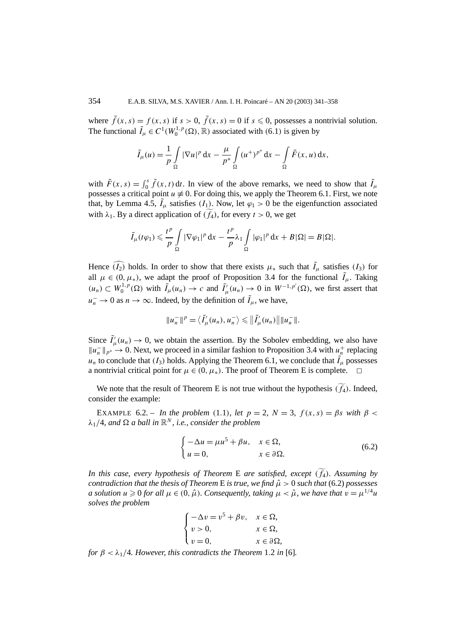where  $\tilde{f}(x, s) = f(x, s)$  if  $s > 0$ ,  $\tilde{f}(x, s) = 0$  if  $s \le 0$ , possesses a nontrivial solution. The functional  $\tilde{I}_{\mu} \in C^1(W_0^{1,p}(\Omega), \mathbb{R})$  associated with (6.1) is given by

$$
\tilde{I}_{\mu}(u) = \frac{1}{p} \int_{\Omega} |\nabla u|^p dx - \frac{\mu}{p^*} \int_{\Omega} (u^+)^{p^*} dx - \int_{\Omega} \tilde{F}(x, u) dx,
$$

with  $\tilde{F}(x, s) = \int_0^s \tilde{f}(x, t) dt$ . In view of the above remarks, we need to show that  $\tilde{I}_{\mu}$ possesses a critical point  $u \neq 0$ . For doing this, we apply the Theorem 6.1. First, we note that, by Lemma 4.5,  $\tilde{I}_{\mu}$  satisfies  $(I_1)$ . Now, let  $\varphi_1 > 0$  be the eigenfunction associated with  $\lambda_1$ . By a direct application of  $(f_4)$ , for every  $t > 0$ , we get

$$
\tilde{I}_{\mu}(t\varphi_1) \leqslant \frac{t^p}{p} \int\limits_{\Omega} |\nabla \varphi_1|^p \, \mathrm{d}x - \frac{t^p}{p} \lambda_1 \int\limits_{\Omega} |\varphi_1|^p \, \mathrm{d}x + B|\Omega| = B|\Omega|.
$$

Hence  $\widehat{I_2}$  holds. In order to show that there exists  $\mu_*$  such that  $\tilde{I}_\mu$  satisfies  $I_3$  for all  $\mu \in (0, \mu_*)$ , we adapt the proof of Proposition 3.4 for the functional  $\tilde{I}_{\mu}$ . Taking  $(u_n) \subset W_0^{1,p}(\Omega)$  with  $\tilde{I}_{\mu}(u_n) \to c$  and  $\tilde{I}_{\mu}'(u_n) \to 0$  in  $W^{-1,p'}(\Omega)$ , we first assert that *u*<sup> $⊓$ </sup> → 0 as *n* → ∞. Indeed, by the definition of  $\tilde{I}_{\mu}$ , we have,

$$
||u_n^-||^p = \langle \tilde{I}_\mu'(u_n), u_n^- \rangle \leq ||\tilde{I}_\mu'(u_n)|| ||u_n^-||.
$$

Since  $\tilde{I}'_{\mu}(u_n) \to 0$ , we obtain the assertion. By the Sobolev embedding, we also have  $||u_n||_{p^*} \to 0$ . Next, we proceed in a similar fashion to Proposition 3.4 with  $u_n^+$  replacing  $u_n$  to conclude that  $(I_3)$  holds. Applying the Theorem 6.1, we conclude that  $\tilde{I}_\mu$  possesses a nontrivial critical point for  $\mu \in (0, \mu_*)$ . The proof of Theorem E is complete.  $\Box$ 

We note that the result of Theorem E is not true without the hypothesis  $(f_4)$ . Indeed, consider the example:

EXAMPLE 6.2. – *In the problem* (1.1), *let*  $p = 2$ ,  $N = 3$ ,  $f(x, s) = \beta s$  with  $\beta <$ *λ*1*/*4*, and a ball in* R*<sup>N</sup> , i.e., consider the problem*

$$
\begin{cases}\n-\Delta u = \mu u^5 + \beta u, & x \in \Omega, \\
u = 0, & x \in \partial \Omega.\n\end{cases}
$$
\n(6.2)

*In this case, every hypothesis of Theorem* E *are satisfied, except (f* 4*). Assuming by contradiction that the thesis of Theorem* E *is true, we find*  $\hat{\mu} > 0$  *such that* (6.2) *possesses a solution*  $u \ge 0$  *for all*  $\mu \in (0, \hat{\mu})$ *. Consequently, taking*  $\mu < \hat{\mu}$ *, we have that*  $v = \mu^{1/4}u$ *solves the problem*

$$
\begin{cases}\n-\Delta v = v^5 + \beta v, & x \in \Omega, \\
v > 0, & x \in \Omega, \\
v = 0, & x \in \partial\Omega,\n\end{cases}
$$

*for*  $\beta < \lambda_1/4$ *. However, this contradicts the Theorem* 1*.2 in* [6]*.*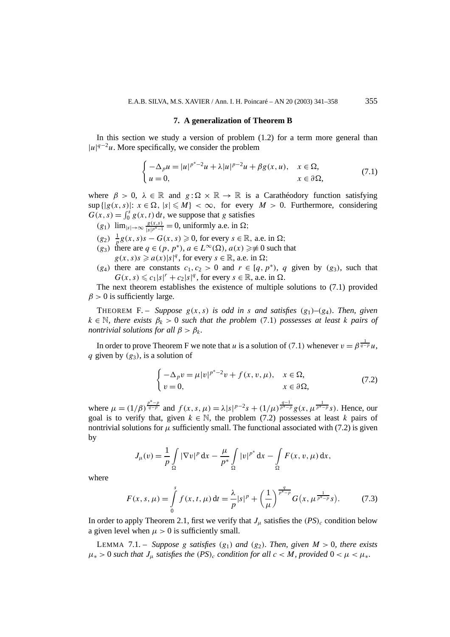#### **7. A generalization of Theorem B**

In this section we study a version of problem (1.2) for a term more general than  $|u|^{q-2}u$ . More specifically, we consider the problem

$$
\begin{cases}\n-\Delta_p u = |u|^{p^*-2}u + \lambda |u|^{p-2}u + \beta g(x,u), & x \in \Omega, \\
u = 0, & x \in \partial\Omega,\n\end{cases}
$$
\n(7.1)

where  $\beta > 0$ ,  $\lambda \in \mathbb{R}$  and  $g: \Omega \times \mathbb{R} \to \mathbb{R}$  is a Carathéodory function satisfying  $\sup\{|g(x, s)|: x \in \Omega, |s| \leq M\} < \infty$ , for every  $M > 0$ . Furthermore, considering  $G(x, s) = \int_0^s g(x, t) dt$ , we suppose that *g* satisfies

- $(g_1)$   $\lim_{|s| \to \infty} \frac{g(x,s)}{|s|^{p^*-1}} = 0$ , uniformly a.e. in  $\Omega$ ;
- $(g_2)$   $\frac{1}{p}g(x, s)s G(x, s) \ge 0$ , for every *s* ∈ ℝ, a.e. in Ω;
- *(g*<sub>3</sub>*)* there are *q* ∈ *(p*, *p*<sup>\*</sup>*)*, *a* ∈ *L*<sup>∞</sup>( $\Omega$ *)*, *a*(*x*) ≥≢ 0 such that  $g(x, s)s \ge a(x)|s|^q$ , for every  $s \in \mathbb{R}$ , a.e. in  $\Omega$ ;
- $(g_4)$  there are constants  $c_1, c_2 > 0$  and  $r \in [q, p^*), q$  given by  $(g_3)$ , such that  $G(x, s) \leq c_1 |s|^r + c_2 |s|^q$ , for every  $s \in \mathbb{R}$ , a.e. in  $\Omega$ .

The next theorem establishes the existence of multiple solutions to (7.1) provided  $\beta$  > 0 is sufficiently large.

THEOREM F. – *Suppose*  $g(x, s)$  *is odd in s and satisfies*  $(g_1) - (g_4)$ *. Then, given*  $k \in \mathbb{N}$ , there exists  $\beta_k > 0$  such that the problem (7.1) possesses at least *k* pairs of *nontrivial solutions for all*  $\beta > \beta_k$ .

In order to prove Theorem F we note that *u* is a solution of (7.1) whenever  $v = \beta^{\frac{1}{q-p}} u$ , *q* given by *(g*3*)*, is a solution of

$$
\begin{cases}\n-\Delta_p v = \mu |v|^{p^*-2}v + f(x, v, \mu), & x \in \Omega, \\
v = 0, & x \in \partial\Omega,\n\end{cases}
$$
\n(7.2)

where  $\mu = (1/\beta)^{\frac{p^*-p}{q-p}}$  and  $f(x, s, \mu) = \lambda |s|^{p-2} s + (1/\mu)^{\frac{q-1}{p^*-p}} g(x, \mu^{\frac{1}{p^*-p}} s)$ . Hence, our goal is to verify that, given  $k \in \mathbb{N}$ , the problem (7.2) possesses at least k pairs of nontrivial solutions for  $\mu$  sufficiently small. The functional associated with (7.2) is given by

$$
J_{\mu}(v) = \frac{1}{p} \int_{\Omega} |\nabla v|^p \, \mathrm{d}x - \frac{\mu}{p^*} \int_{\Omega} |v|^{p^*} \, \mathrm{d}x - \int_{\Omega} F(x, v, \mu) \, \mathrm{d}x,
$$

where

$$
F(x, s, \mu) = \int_{0}^{s} f(x, t, \mu) dt = \frac{\lambda}{p} |s|^{p} + \left(\frac{1}{\mu}\right)^{\frac{q}{p^{*}-p}} G(x, \mu^{\frac{1}{p^{*}-p}}s).
$$
(7.3)

In order to apply Theorem 2.1, first we verify that  $J_\mu$  satisfies the  $(PS)_c$  condition below a given level when  $\mu > 0$  is sufficiently small.

LEMMA 7.1. – *Suppose g satisfies*  $(g_1)$  *and*  $(g_2)$ *. Then, given*  $M > 0$ *, there exists*  $\mu_*$  > 0 *such that*  $J_\mu$  *satisfies the*  $(PS)_c$  *condition for all*  $c < M$ *, provided*  $0 < \mu < \mu_*$ *.*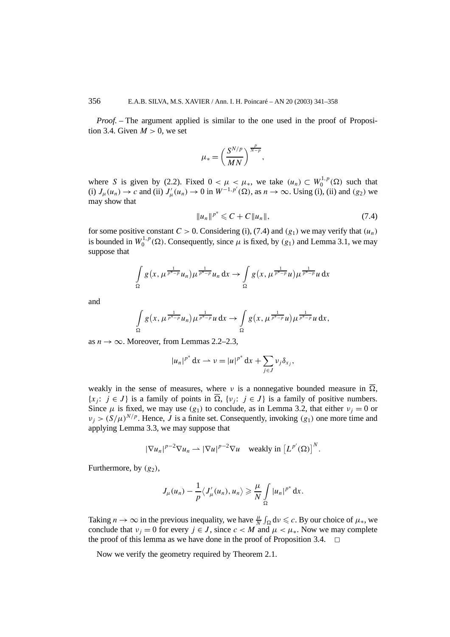*Proof.* – The argument applied is similar to the one used in the proof of Proposition 3.4. Given  $M > 0$ , we set

$$
\mu_* = \left(\frac{S^{N/p}}{MN}\right)^{\frac{p}{N-p}},
$$

where *S* is given by (2.2). Fixed  $0 < \mu < \mu_*$ , we take  $(u_n) \subset W_0^{1,p}(\Omega)$  such that (i)  $J_\mu(u_n) \to c$  and (ii)  $J'_\mu(u_n) \to 0$  in  $W^{-1,p'}(\Omega)$ , as  $n \to \infty$ . Using (i), (ii) and *(g<sub>2</sub>*) we may show that

$$
||u_n||^{p^*} \leq C + C ||u_n||, \tag{7.4}
$$

for some positive constant  $C > 0$ . Considering (i), (7.4) and  $(g_1)$  we may verify that  $(u_n)$ is bounded in  $W_0^{1,p}(\Omega)$ . Consequently, since  $\mu$  is fixed, by  $(g_1)$  and Lemma 3.1, we may suppose that

$$
\int_{\Omega} g\left(x, \mu^{\frac{1}{p^* - p}} u_n\right) \mu^{\frac{1}{p^* - p}} u_n \, \mathrm{d}x \to \int_{\Omega} g\left(x, \mu^{\frac{1}{p^* - p}} u\right) \mu^{\frac{1}{p^* - p}} u \, \mathrm{d}x
$$

and

$$
\int_{\Omega} g\left(x, \mu^{\frac{1}{p^*-p}} u_n\right) \mu^{\frac{1}{p^*-p}} u \, \mathrm{d}x \to \int_{\Omega} g\left(x, \mu^{\frac{1}{p^*-p}} u\right) \mu^{\frac{1}{p^*-p}} u \, \mathrm{d}x,
$$

as  $n \to \infty$ . Moreover, from Lemmas 2.2–2.3,

$$
|u_n|^{p^*} dx \rightharpoonup \nu = |u|^{p^*} dx + \sum_{j \in J} \nu_j \delta_{x_j},
$$

weakly in the sense of measures, where *ν* is a nonnegative bounded measure in  $\overline{\Omega}$ ,  $\{x_j : j \in J\}$  is a family of points in  $\overline{\Omega}$ ,  $\{v_j : j \in J\}$  is a family of positive numbers. Since  $\mu$  is fixed, we may use  $(g_1)$  to conclude, as in Lemma 3.2, that either  $v_j = 0$  or  $v_i > (S/\mu)^{N/p}$ . Hence, *J* is a finite set. Consequently, invoking  $(g_1)$  one more time and applying Lemma 3.3, we may suppose that

$$
|\nabla u_n|^{p-2} \nabla u_n \rightharpoonup |\nabla u|^{p-2} \nabla u \quad \text{weakly in } \left[L^{p'}(\Omega)\right]^N.
$$

Furthermore, by  $(g_2)$ ,

$$
J_{\mu}(u_n)-\frac{1}{p}\langle J'_{\mu}(u_n),u_n\rangle\geqslant \frac{\mu}{N}\int\limits_{\Omega}|u_n|^{p^*}\,\mathrm{d} x.
$$

Taking  $n \to \infty$  in the previous inequality, we have  $\frac{\mu}{N} \int_{\Omega} dv \leq c$ . By our choice of  $\mu_*$ , we conclude that  $v_j = 0$  for every  $j \in J$ , since  $c < M$  and  $\mu < \mu_*$ . Now we may complete the proof of this lemma as we have done in the proof of Proposition 3.4.  $\Box$ 

Now we verify the geometry required by Theorem 2.1.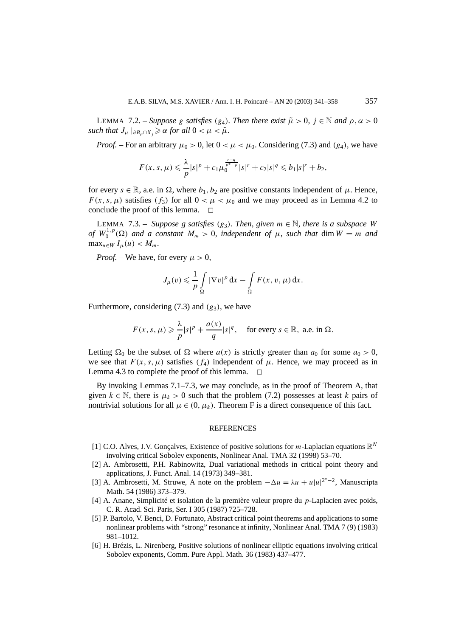LEMMA 7.2. – *Suppose g satisfies* (*g*<sub>4</sub>)*. Then there exist*  $\tilde{\mu} > 0$ ,  $j \in \mathbb{N}$  *and*  $\rho, \alpha > 0$ *such that*  $J_{\mu}$   $|_{\partial B_{\rho} \cap X_{i}} \geq \alpha$  *for all*  $0 < \mu < \tilde{\mu}$ *.* 

*Proof.* – For an arbitrary  $\mu_0 > 0$ , let  $0 < \mu < \mu_0$ . Considering (7.3) and  $(g_4)$ , we have

$$
F(x, s, \mu) \leq \frac{\lambda}{p} |s|^p + c_1 \mu_0^{\frac{r-q}{p^*-p}} |s|^r + c_2 |s|^q \leq b_1 |s|^r + b_2,
$$

for every  $s \in \mathbb{R}$ , a.e. in  $\Omega$ , where  $b_1, b_2$  are positive constants independent of  $\mu$ . Hence,  $F(x, s, \mu)$  satisfies  $(f_3)$  for all  $0 < \mu < \mu_0$  and we may proceed as in Lemma 4.2 to conclude the proof of this lemma.  $\Box$ 

LEMMA 7.3. – *Suppose g satisfies*  $(g_3)$ *. Then, given*  $m \in \mathbb{N}$ *, there is a subspace W of*  $W_0^{1,p}(\Omega)$  *and a constant*  $M_m > 0$ *, independent of*  $\mu$ *, such that* dim  $W = m$  *and*  $\max_{u \in W} I_u(u) < M_m$ .

*Proof.* – We have, for every  $\mu > 0$ ,

$$
J_{\mu}(v) \leqslant \frac{1}{p} \int\limits_{\Omega} |\nabla v|^p \, \mathrm{d}x - \int\limits_{\Omega} F(x, v, \mu) \, \mathrm{d}x.
$$

Furthermore, considering (7.3) and *(g*3*)*, we have

$$
F(x, s, \mu) \geq \frac{\lambda}{p} |s|^p + \frac{a(x)}{q} |s|^q, \quad \text{for every } s \in \mathbb{R}, \text{ a.e. in } \Omega.
$$

Letting  $\Omega_0$  be the subset of  $\Omega$  where  $a(x)$  is strictly greater than  $a_0$  for some  $a_0 > 0$ , we see that  $F(x, s, \mu)$  satisfies  $(f_4)$  independent of  $\mu$ . Hence, we may proceed as in Lemma 4.3 to complete the proof of this lemma.  $\Box$ 

By invoking Lemmas 7.1–7.3, we may conclude, as in the proof of Theorem A, that given  $k \in \mathbb{N}$ , there is  $\mu_k > 0$  such that the problem (7.2) possesses at least *k* pairs of nontrivial solutions for all  $\mu \in (0, \mu_k)$ . Theorem F is a direct consequence of this fact.

#### REFERENCES

- [1] C.O. Alves, J.V. Gonçalves, Existence of positive solutions for  $m$ -Laplacian equations  $\mathbb{R}^N$ involving critical Sobolev exponents, Nonlinear Anal. TMA 32 (1998) 53–70.
- [2] A. Ambrosetti, P.H. Rabinowitz, Dual variational methods in critical point theory and applications, J. Funct. Anal. 14 (1973) 349–381.
- [3] A. Ambrosetti, M. Struwe, A note on the problem  $-\Delta u = \lambda u + u|u|^{2^{*}-2}$ , Manuscripta Math. 54 (1986) 373–379.
- [4] A. Anane, Simplicité et isolation de la première valeur propre du *p*-Laplacien avec poids, C. R. Acad. Sci. Paris, Ser. I 305 (1987) 725–728.
- [5] P. Bartolo, V. Benci, D. Fortunato, Abstract critical point theorems and applications to some nonlinear problems with "strong" resonance at infinity, Nonlinear Anal. TMA 7 (9) (1983) 981–1012.
- [6] H. Brézis, L. Nirenberg, Positive solutions of nonlinear elliptic equations involving critical Sobolev exponents, Comm. Pure Appl. Math. 36 (1983) 437–477.